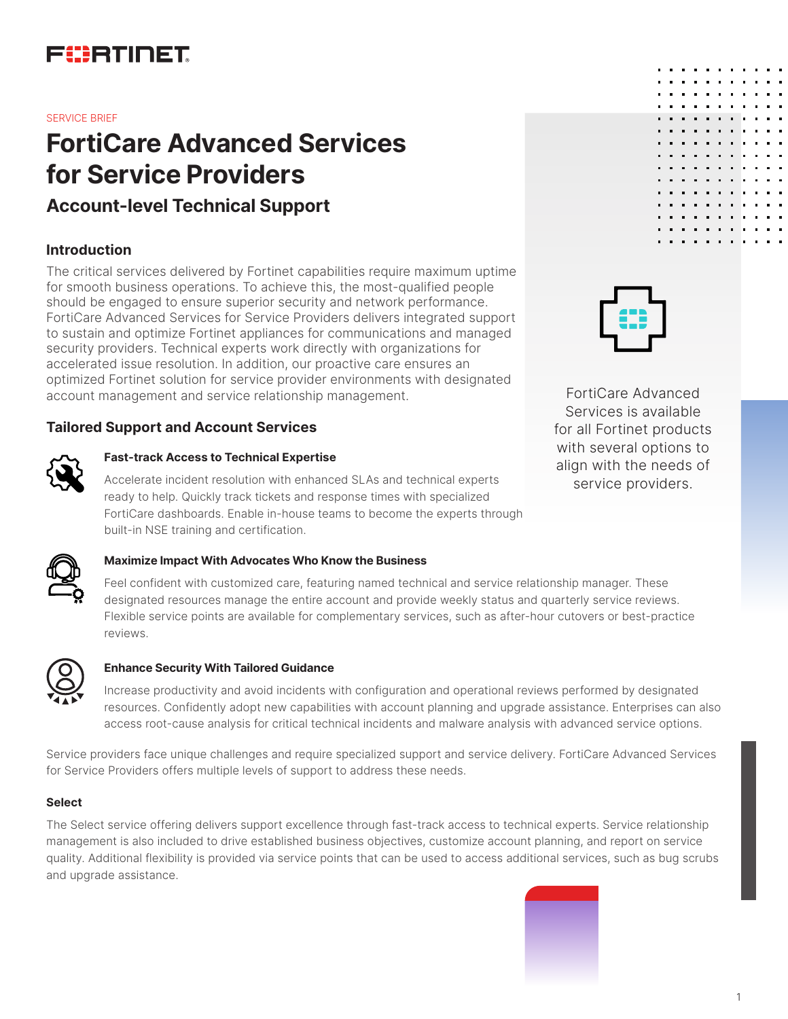

#### SERVICE BRIEF

# **FortiCare Advanced Services for Service Providers**

# **Account-level Technical Support**

### **Introduction**

The critical services delivered by Fortinet capabilities require maximum uptime for smooth business operations. To achieve this, the most-qualified people should be engaged to ensure superior security and network performance. FortiCare Advanced Services for Service Providers delivers integrated support to sustain and optimize Fortinet appliances for communications and managed security providers. Technical experts work directly with organizations for accelerated issue resolution. In addition, our proactive care ensures an optimized Fortinet solution for service provider environments with designated account management and service relationship management.

## **Tailored Support and Account Services**



#### **Fast-track Access to Technical Expertise**

Accelerate incident resolution with enhanced SLAs and technical experts ready to help. Quickly track tickets and response times with specialized FortiCare dashboards. Enable in-house teams to become the experts through built-in NSE training and certification.



FortiCare Advanced Services is available for all Fortinet products with several options to align with the needs of service providers.



#### **Maximize Impact With Advocates Who Know the Business**

Feel confident with customized care, featuring named technical and service relationship manager. These designated resources manage the entire account and provide weekly status and quarterly service reviews. Flexible service points are available for complementary services, such as after-hour cutovers or best-practice reviews.



#### **Enhance Security With Tailored Guidance**

Increase productivity and avoid incidents with configuration and operational reviews performed by designated resources. Confidently adopt new capabilities with account planning and upgrade assistance. Enterprises can also access root-cause analysis for critical technical incidents and malware analysis with advanced service options.

Service providers face unique challenges and require specialized support and service delivery. FortiCare Advanced Services for Service Providers offers multiple levels of support to address these needs.

#### **Select**

The Select service offering delivers support excellence through fast-track access to technical experts. Service relationship management is also included to drive established business objectives, customize account planning, and report on service quality. Additional flexibility is provided via service points that can be used to access additional services, such as bug scrubs and upgrade assistance.